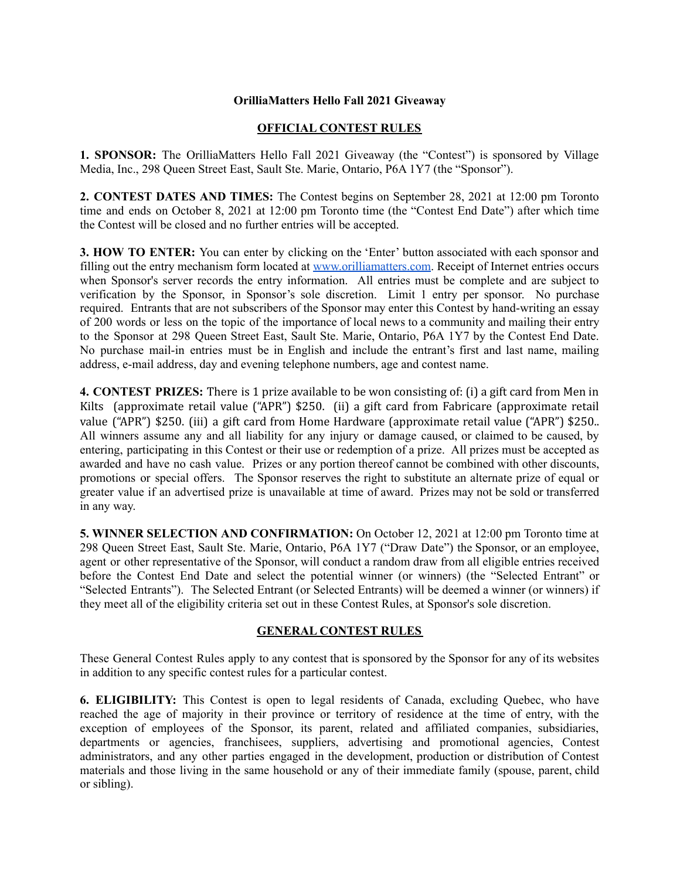## **OrilliaMatters Hello Fall 2021 Giveaway**

## **OFFICIAL CONTEST RULES**

**1. SPONSOR:** The OrilliaMatters Hello Fall 2021 Giveaway (the "Contest") is sponsored by Village Media, Inc., 298 Queen Street East, Sault Ste. Marie, Ontario, P6A 1Y7 (the "Sponsor").

**2. CONTEST DATES AND TIMES:** The Contest begins on September 28, 2021 at 12:00 pm Toronto time and ends on October 8, 2021 at 12:00 pm Toronto time (the "Contest End Date") after which time the Contest will be closed and no further entries will be accepted.

**3. HOW TO ENTER:** You can enter by clicking on the 'Enter' button associated with each sponsor and filling out the entry mechanism form located at [www.orilliamatters.com](http://www.orilliamatters.com). Receipt of Internet entries occurs when Sponsor's server records the entry information. All entries must be complete and are subject to verification by the Sponsor, in Sponsor's sole discretion. Limit 1 entry per sponsor. No purchase required. Entrants that are not subscribers of the Sponsor may enter this Contest by hand-writing an essay of 200 words or less on the topic of the importance of local news to a community and mailing their entry to the Sponsor at 298 Queen Street East, Sault Ste. Marie, Ontario, P6A 1Y7 by the Contest End Date. No purchase mail-in entries must be in English and include the entrant's first and last name, mailing address, e-mail address, day and evening telephone numbers, age and contest name.

**4. CONTEST PRIZES:** There is 1 prize available to be won consisting of: (i) a gift card from Men in Kilts (approximate retail value ("APR") \$250. (ii) a gift card from Fabricare (approximate retail value ("APR") \$250. (iii) a gift card from Home Hardware (approximate retail value ("APR") \$250.. All winners assume any and all liability for any injury or damage caused, or claimed to be caused, by entering, participating in this Contest or their use or redemption of a prize. All prizes must be accepted as awarded and have no cash value. Prizes or any portion thereof cannot be combined with other discounts, promotions or special offers. The Sponsor reserves the right to substitute an alternate prize of equal or greater value if an advertised prize is unavailable at time of award. Prizes may not be sold or transferred in any way.

**5. WINNER SELECTION AND CONFIRMATION:** On October 12, 2021 at 12:00 pm Toronto time at 298 Queen Street East, Sault Ste. Marie, Ontario, P6A 1Y7 ("Draw Date") the Sponsor, or an employee, agent or other representative of the Sponsor, will conduct a random draw from all eligible entries received before the Contest End Date and select the potential winner (or winners) (the "Selected Entrant" or "Selected Entrants"). The Selected Entrant (or Selected Entrants) will be deemed a winner (or winners) if they meet all of the eligibility criteria set out in these Contest Rules, at Sponsor's sole discretion.

## **GENERAL CONTEST RULES**

These General Contest Rules apply to any contest that is sponsored by the Sponsor for any of its websites in addition to any specific contest rules for a particular contest.

**6. ELIGIBILITY:** This Contest is open to legal residents of Canada, excluding Quebec, who have reached the age of majority in their province or territory of residence at the time of entry, with the exception of employees of the Sponsor, its parent, related and affiliated companies, subsidiaries, departments or agencies, franchisees, suppliers, advertising and promotional agencies, Contest administrators, and any other parties engaged in the development, production or distribution of Contest materials and those living in the same household or any of their immediate family (spouse, parent, child or sibling).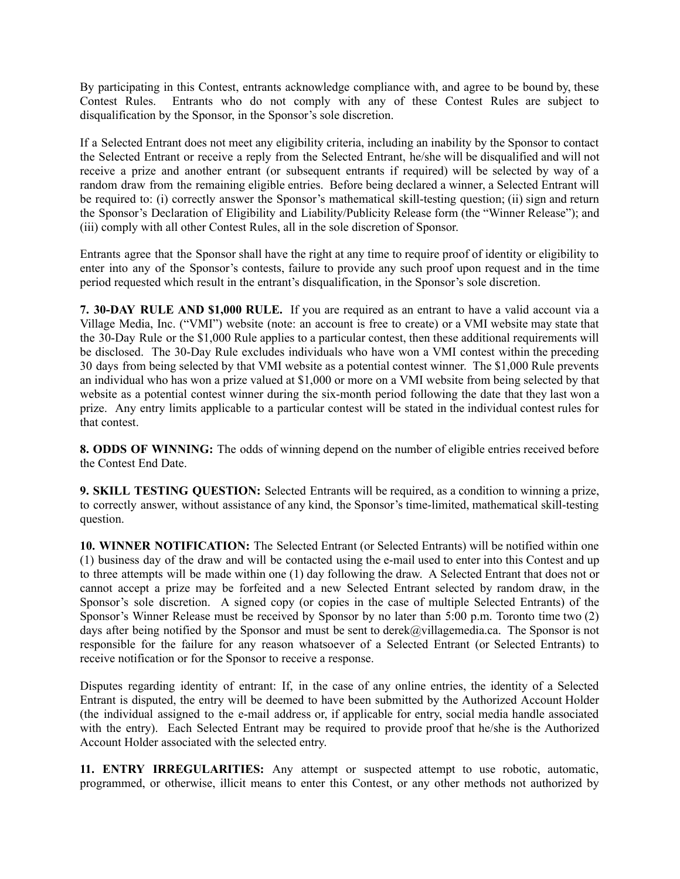By participating in this Contest, entrants acknowledge compliance with, and agree to be bound by, these Contest Rules. Entrants who do not comply with any of these Contest Rules are subject to disqualification by the Sponsor, in the Sponsor's sole discretion.

If a Selected Entrant does not meet any eligibility criteria, including an inability by the Sponsor to contact the Selected Entrant or receive a reply from the Selected Entrant, he/she will be disqualified and will not receive a prize and another entrant (or subsequent entrants if required) will be selected by way of a random draw from the remaining eligible entries. Before being declared a winner, a Selected Entrant will be required to: (i) correctly answer the Sponsor's mathematical skill-testing question; (ii) sign and return the Sponsor's Declaration of Eligibility and Liability/Publicity Release form (the "Winner Release"); and (iii) comply with all other Contest Rules, all in the sole discretion of Sponsor.

Entrants agree that the Sponsor shall have the right at any time to require proof of identity or eligibility to enter into any of the Sponsor's contests, failure to provide any such proof upon request and in the time period requested which result in the entrant's disqualification, in the Sponsor's sole discretion.

**7. 30-DAY RULE AND \$1,000 RULE.** If you are required as an entrant to have a valid account via a Village Media, Inc. ("VMI") website (note: an account is free to create) or a VMI website may state that the 30-Day Rule or the \$1,000 Rule applies to a particular contest, then these additional requirements will be disclosed. The 30-Day Rule excludes individuals who have won a VMI contest within the preceding 30 days from being selected by that VMI website as a potential contest winner. The \$1,000 Rule prevents an individual who has won a prize valued at \$1,000 or more on a VMI website from being selected by that website as a potential contest winner during the six-month period following the date that they last won a prize. Any entry limits applicable to a particular contest will be stated in the individual contest rules for that contest.

**8. ODDS OF WINNING:** The odds of winning depend on the number of eligible entries received before the Contest End Date.

**9. SKILL TESTING QUESTION:** Selected Entrants will be required, as a condition to winning a prize, to correctly answer, without assistance of any kind, the Sponsor's time-limited, mathematical skill-testing question.

**10. WINNER NOTIFICATION:** The Selected Entrant (or Selected Entrants) will be notified within one (1) business day of the draw and will be contacted using the e-mail used to enter into this Contest and up to three attempts will be made within one (1) day following the draw. A Selected Entrant that does not or cannot accept a prize may be forfeited and a new Selected Entrant selected by random draw, in the Sponsor's sole discretion. A signed copy (or copies in the case of multiple Selected Entrants) of the Sponsor's Winner Release must be received by Sponsor by no later than 5:00 p.m. Toronto time two (2) days after being notified by the Sponsor and must be sent to derek@villagemedia.ca. The Sponsor is not responsible for the failure for any reason whatsoever of a Selected Entrant (or Selected Entrants) to receive notification or for the Sponsor to receive a response.

Disputes regarding identity of entrant: If, in the case of any online entries, the identity of a Selected Entrant is disputed, the entry will be deemed to have been submitted by the Authorized Account Holder (the individual assigned to the e-mail address or, if applicable for entry, social media handle associated with the entry). Each Selected Entrant may be required to provide proof that he/she is the Authorized Account Holder associated with the selected entry.

**11. ENTRY IRREGULARITIES:** Any attempt or suspected attempt to use robotic, automatic, programmed, or otherwise, illicit means to enter this Contest, or any other methods not authorized by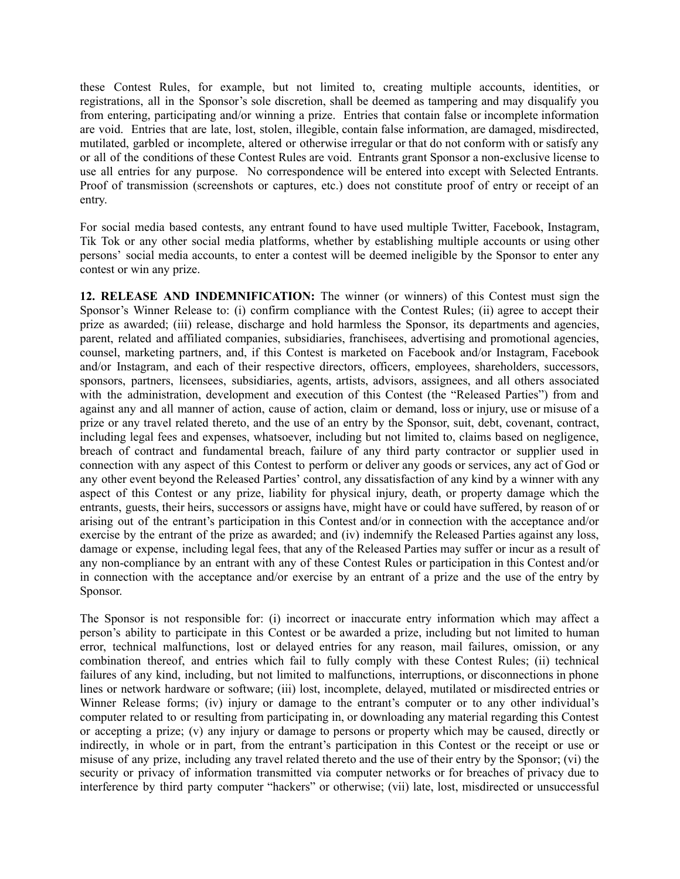these Contest Rules, for example, but not limited to, creating multiple accounts, identities, or registrations, all in the Sponsor's sole discretion, shall be deemed as tampering and may disqualify you from entering, participating and/or winning a prize. Entries that contain false or incomplete information are void. Entries that are late, lost, stolen, illegible, contain false information, are damaged, misdirected, mutilated, garbled or incomplete, altered or otherwise irregular or that do not conform with or satisfy any or all of the conditions of these Contest Rules are void. Entrants grant Sponsor a non-exclusive license to use all entries for any purpose. No correspondence will be entered into except with Selected Entrants. Proof of transmission (screenshots or captures, etc.) does not constitute proof of entry or receipt of an entry.

For social media based contests, any entrant found to have used multiple Twitter, Facebook, Instagram, Tik Tok or any other social media platforms, whether by establishing multiple accounts or using other persons' social media accounts, to enter a contest will be deemed ineligible by the Sponsor to enter any contest or win any prize.

**12. RELEASE AND INDEMNIFICATION:** The winner (or winners) of this Contest must sign the Sponsor's Winner Release to: (i) confirm compliance with the Contest Rules; (ii) agree to accept their prize as awarded; (iii) release, discharge and hold harmless the Sponsor, its departments and agencies, parent, related and affiliated companies, subsidiaries, franchisees, advertising and promotional agencies, counsel, marketing partners, and, if this Contest is marketed on Facebook and/or Instagram, Facebook and/or Instagram, and each of their respective directors, officers, employees, shareholders, successors, sponsors, partners, licensees, subsidiaries, agents, artists, advisors, assignees, and all others associated with the administration, development and execution of this Contest (the "Released Parties") from and against any and all manner of action, cause of action, claim or demand, loss or injury, use or misuse of a prize or any travel related thereto, and the use of an entry by the Sponsor, suit, debt, covenant, contract, including legal fees and expenses, whatsoever, including but not limited to, claims based on negligence, breach of contract and fundamental breach, failure of any third party contractor or supplier used in connection with any aspect of this Contest to perform or deliver any goods or services, any act of God or any other event beyond the Released Parties' control, any dissatisfaction of any kind by a winner with any aspect of this Contest or any prize, liability for physical injury, death, or property damage which the entrants, guests, their heirs, successors or assigns have, might have or could have suffered, by reason of or arising out of the entrant's participation in this Contest and/or in connection with the acceptance and/or exercise by the entrant of the prize as awarded; and (iv) indemnify the Released Parties against any loss, damage or expense, including legal fees, that any of the Released Parties may suffer or incur as a result of any non-compliance by an entrant with any of these Contest Rules or participation in this Contest and/or in connection with the acceptance and/or exercise by an entrant of a prize and the use of the entry by Sponsor.

The Sponsor is not responsible for: (i) incorrect or inaccurate entry information which may affect a person's ability to participate in this Contest or be awarded a prize, including but not limited to human error, technical malfunctions, lost or delayed entries for any reason, mail failures, omission, or any combination thereof, and entries which fail to fully comply with these Contest Rules; (ii) technical failures of any kind, including, but not limited to malfunctions, interruptions, or disconnections in phone lines or network hardware or software; (iii) lost, incomplete, delayed, mutilated or misdirected entries or Winner Release forms; (iv) injury or damage to the entrant's computer or to any other individual's computer related to or resulting from participating in, or downloading any material regarding this Contest or accepting a prize; (v) any injury or damage to persons or property which may be caused, directly or indirectly, in whole or in part, from the entrant's participation in this Contest or the receipt or use or misuse of any prize, including any travel related thereto and the use of their entry by the Sponsor; (vi) the security or privacy of information transmitted via computer networks or for breaches of privacy due to interference by third party computer "hackers" or otherwise; (vii) late, lost, misdirected or unsuccessful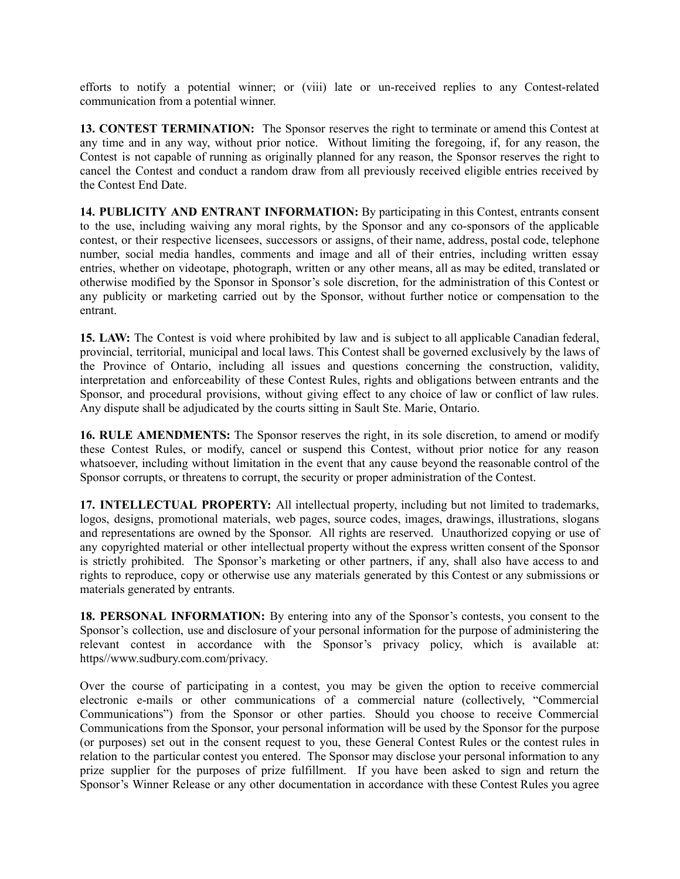efforts to notify a potential winner; or (viii) late or un-received replies to any Contest-related communication from a potential winner.

**13. CONTEST TERMINATION:** The Sponsor reserves the right to terminate or amend this Contest at any time and in any way, without prior notice. Without limiting the foregoing, if, for any reason, the Contest is not capable of running as originally planned for any reason, the Sponsor reserves the right to cancel the Contest and conduct a random draw from all previously received eligible entries received by the Contest End Date.

**14. PUBLICITY AND ENTRANT INFORMATION:** By participating in this Contest, entrants consent to the use, including waiving any moral rights, by the Sponsor and any co-sponsors of the applicable contest, or their respective licensees, successors or assigns, of their name, address, postal code, telephone number, social media handles, comments and image and all of their entries, including written essay entries, whether on videotape, photograph, written or any other means, all as may be edited, translated or otherwise modified by the Sponsor in Sponsor's sole discretion, for the administration of this Contest or any publicity or marketing carried out by the Sponsor, without further notice or compensation to the entrant.

**15. LAW:** The Contest is void where prohibited by law and is subject to all applicable Canadian federal, provincial, territorial, municipal and local laws. This Contest shall be governed exclusively by the laws of the Province of Ontario, including all issues and questions concerning the construction, validity, interpretation and enforceability of these Contest Rules, rights and obligations between entrants and the Sponsor, and procedural provisions, without giving effect to any choice of law or conflict of law rules. Any dispute shall be adjudicated by the courts sitting in Sault Ste. Marie, Ontario.

**16. RULE AMENDMENTS:** The Sponsor reserves the right, in its sole discretion, to amend or modify these Contest Rules, or modify, cancel or suspend this Contest, without prior notice for any reason whatsoever, including without limitation in the event that any cause beyond the reasonable control of the Sponsor corrupts, or threatens to corrupt, the security or proper administration of the Contest.

**17. INTELLECTUAL PROPERTY:** All intellectual property, including but not limited to trademarks, logos, designs, promotional materials, web pages, source codes, images, drawings, illustrations, slogans and representations are owned by the Sponsor. All rights are reserved. Unauthorized copying or use of any copyrighted material or other intellectual property without the express written consent of the Sponsor is strictly prohibited. The Sponsor's marketing or other partners, if any, shall also have access to and rights to reproduce, copy or otherwise use any materials generated by this Contest or any submissions or materials generated by entrants.

**18. PERSONAL INFORMATION:** By entering into any of the Sponsor's contests, you consent to the Sponsor's collection, use and disclosure of your personal information for the purpose of administering the relevant contest in accordance with the Sponsor's privacy policy, which is available at: https//www.sudbury.com.com/privacy.

Over the course of participating in a contest, you may be given the option to receive commercial electronic e-mails or other communications of a commercial nature (collectively, "Commercial Communications") from the Sponsor or other parties. Should you choose to receive Commercial Communications from the Sponsor, your personal information will be used by the Sponsor for the purpose (or purposes) set out in the consent request to you, these General Contest Rules or the contest rules in relation to the particular contest you entered. The Sponsor may disclose your personal information to any prize supplier for the purposes of prize fulfillment. If you have been asked to sign and return the Sponsor's Winner Release or any other documentation in accordance with these Contest Rules you agree